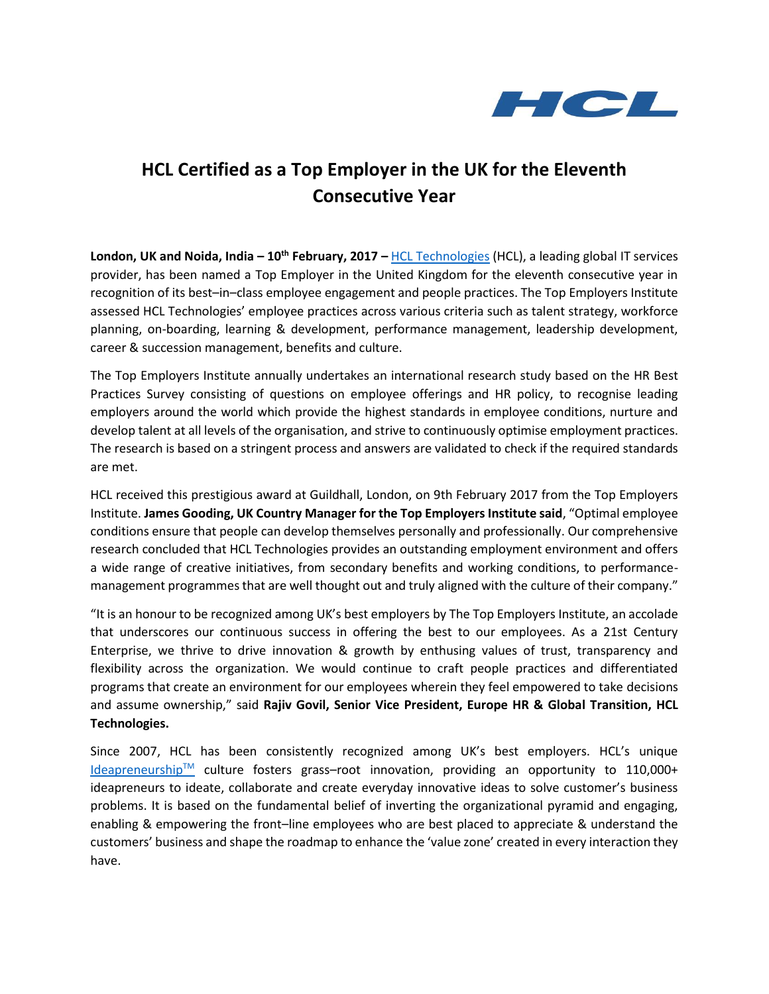

## **HCL Certified as a Top Employer in the UK for the Eleventh Consecutive Year**

**London, UK and Noida, India – 10th February, 2017 –** [HCL Technologies](https://www.hcltech.com/) (HCL), a leading global IT services provider, has been named a Top Employer in the United Kingdom for the eleventh consecutive year in recognition of its best–in–class employee engagement and people practices. The Top Employers Institute assessed HCL Technologies' employee practices across various criteria such as talent strategy, workforce planning, on-boarding, learning & development, performance management, leadership development, career & succession management, benefits and culture.

The Top Employers Institute annually undertakes an international research study based on the HR Best Practices Survey consisting of questions on employee offerings and HR policy, to recognise leading employers around the world which provide the highest standards in employee conditions, nurture and develop talent at all levels of the organisation, and strive to continuously optimise employment practices. The research is based on a stringent process and answers are validated to check if the required standards are met.

HCL received this prestigious award at Guildhall, London, on 9th February 2017 from the Top Employers Institute. **James Gooding, UK Country Manager for the Top Employers Institute said**, "Optimal employee conditions ensure that people can develop themselves personally and professionally. Our comprehensive research concluded that HCL Technologies provides an outstanding employment environment and offers a wide range of creative initiatives, from secondary benefits and working conditions, to performancemanagement programmes that are well thought out and truly aligned with the culture of their company."

"It is an honour to be recognized among UK's best employers by The Top Employers Institute, an accolade that underscores our continuous success in offering the best to our employees. As a 21st Century Enterprise, we thrive to drive innovation & growth by enthusing values of trust, transparency and flexibility across the organization. We would continue to craft people practices and differentiated programs that create an environment for our employees wherein they feel empowered to take decisions and assume ownership," said **Rajiv Govil, Senior Vice President, Europe HR & Global Transition, HCL Technologies.**

Since 2007, HCL has been consistently recognized among UK's best employers. HCL's unique [Ideapreneurship](https://www.hcltech.com/ideapreneurship)<sup>TM</sup> culture fosters grass-root innovation, providing an opportunity to 110,000+ ideapreneurs to ideate, collaborate and create everyday innovative ideas to solve customer's business problems. It is based on the fundamental belief of inverting the organizational pyramid and engaging, enabling & empowering the front–line employees who are best placed to appreciate & understand the customers' business and shape the roadmap to enhance the 'value zone' created in every interaction they have.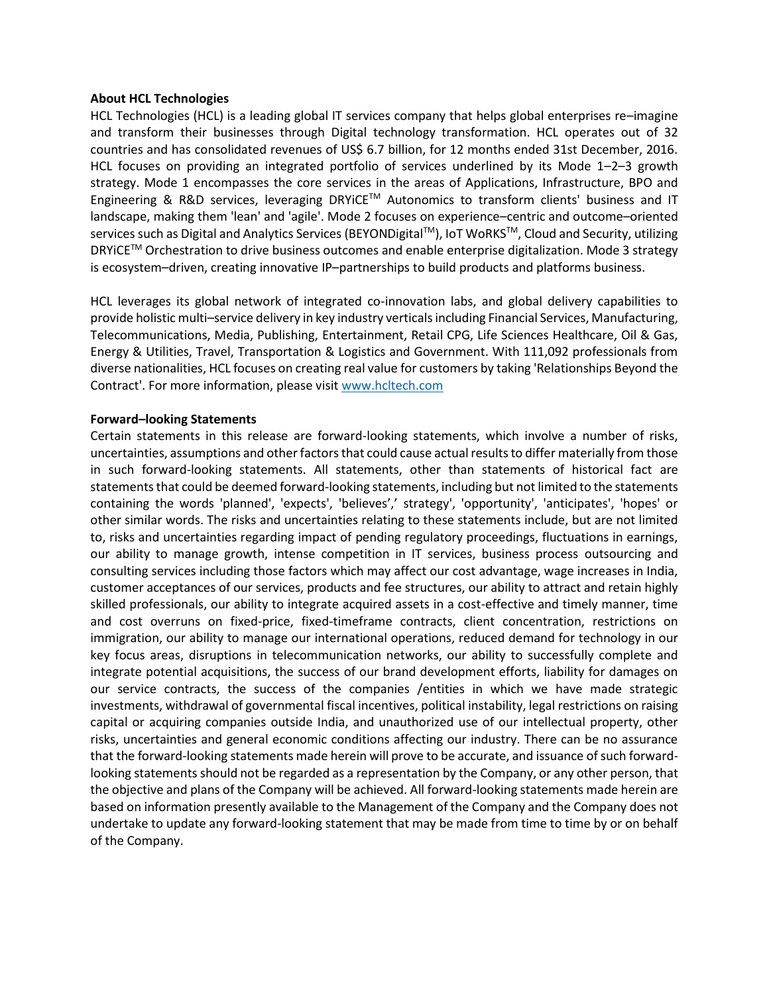## **About HCL Technologies**

HCL Technologies (HCL) is a leading global IT services company that helps global enterprises re–imagine and transform their businesses through Digital technology transformation. HCL operates out of 32 countries and has consolidated revenues of US\$ 6.7 billion, for 12 months ended 31st December, 2016. HCL focuses on providing an integrated portfolio of services underlined by its Mode 1–2–3 growth strategy. Mode 1 encompasses the core services in the areas of Applications, Infrastructure, BPO and Engineering & R&D services, leveraging DRYiCETM Autonomics to transform clients' business and IT landscape, making them 'lean' and 'agile'. Mode 2 focuses on experience–centric and outcome–oriented services such as Digital and Analytics Services (BEYONDigital<sup>TM</sup>), IoT WoRKS<sup>TM</sup>, Cloud and Security, utilizing DRYiCETM Orchestration to drive business outcomes and enable enterprise digitalization. Mode 3 strategy is ecosystem–driven, creating innovative IP–partnerships to build products and platforms business.

HCL leverages its global network of integrated co-innovation labs, and global delivery capabilities to provide holistic multi–service delivery in key industry verticals including Financial Services, Manufacturing, Telecommunications, Media, Publishing, Entertainment, Retail CPG, Life Sciences Healthcare, Oil & Gas, Energy & Utilities, Travel, Transportation & Logistics and Government. With 111,092 professionals from diverse nationalities, HCL focuses on creating real value for customers by taking 'Relationships Beyond the Contract'. For more information, please visit [www.hcltech.com](http://www.hcltech.com/)

## **Forward–looking Statements**

Certain statements in this release are forward-looking statements, which involve a number of risks, uncertainties, assumptions and other factors that could cause actual results to differ materially from those in such forward-looking statements. All statements, other than statements of historical fact are statements that could be deemed forward-looking statements, including but not limited to the statements containing the words 'planned', 'expects', 'believes',' strategy', 'opportunity', 'anticipates', 'hopes' or other similar words. The risks and uncertainties relating to these statements include, but are not limited to, risks and uncertainties regarding impact of pending regulatory proceedings, fluctuations in earnings, our ability to manage growth, intense competition in IT services, business process outsourcing and consulting services including those factors which may affect our cost advantage, wage increases in India, customer acceptances of our services, products and fee structures, our ability to attract and retain highly skilled professionals, our ability to integrate acquired assets in a cost-effective and timely manner, time and cost overruns on fixed-price, fixed-timeframe contracts, client concentration, restrictions on immigration, our ability to manage our international operations, reduced demand for technology in our key focus areas, disruptions in telecommunication networks, our ability to successfully complete and integrate potential acquisitions, the success of our brand development efforts, liability for damages on our service contracts, the success of the companies /entities in which we have made strategic investments, withdrawal of governmental fiscal incentives, political instability, legal restrictions on raising capital or acquiring companies outside India, and unauthorized use of our intellectual property, other risks, uncertainties and general economic conditions affecting our industry. There can be no assurance that the forward-looking statements made herein will prove to be accurate, and issuance of such forwardlooking statements should not be regarded as a representation by the Company, or any other person, that the objective and plans of the Company will be achieved. All forward-looking statements made herein are based on information presently available to the Management of the Company and the Company does not undertake to update any forward-looking statement that may be made from time to time by or on behalf of the Company.